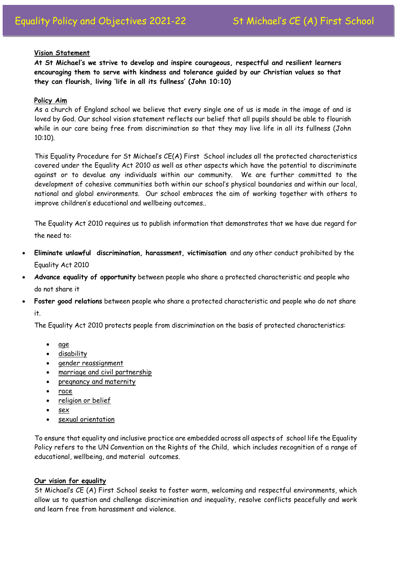### **Vision Statement**

**At St Michael's we strive to develop and inspire courageous, respectful and resilient learners encouraging them to serve with kindness and tolerance guided by our Christian values so that they can flourish, living 'life in all its fullness' (John 10:10)**

#### **Policy Aim**

As a church of England school we believe that every single one of us is made in the image of and is loved by God. Our school vision statement reflects our belief that all pupils should be able to flourish while in our care being free from discrimination so that they may live life in all its fullness (John 10:10).

This Equality Procedure for St Michael's CE(A) First School includes all the protected characteristics covered under the Equality Act 2010 as well as other aspects which have the potential to discriminate against or to devalue any individuals within our community. We are further committed to the development of cohesive communities both within our school's physical boundaries and within our local, national and global environments. Our school embraces the aim of working together with others to improve children's educational and wellbeing outcomes..

The Equality Act 2010 requires us to publish information that demonstrates that we have due regard for the need to:

- **Eliminate unlawful discrimination, harassment, victimisation** and any other conduct prohibited by the Equality Act 2010
- **Advance equality of opportunity** between people who share a protected characteristic and people who do not share it
- **Foster good relations** between people who share a protected characteristic and people who do not share it.

The Equality Act 2010 protects people from discrimination on the basis of protected characteristics:

- [age](https://www.equalityhumanrights.com/en/equality-act/protected-characteristics#age)
- [disability](https://www.equalityhumanrights.com/en/equality-act/protected-characteristics#disability)
- [gender reassignment](https://www.equalityhumanrights.com/en/equality-act/protected-characteristics#reassignment)
- [marriage and civil partnership](https://www.equalityhumanrights.com/en/equality-act/protected-characteristics#marriage)
- [pregnancy and maternity](https://www.equalityhumanrights.com/en/equality-act/protected-characteristics#pregmat)
- [race](https://www.equalityhumanrights.com/en/equality-act/protected-characteristics#race)
- [religion or belief](https://www.equalityhumanrights.com/en/equality-act/protected-characteristics#rob)
- [sex](https://www.equalityhumanrights.com/en/equality-act/protected-characteristics#sex)
- [sexual orientation](https://www.equalityhumanrights.com/en/equality-act/protected-characteristics#lgb)

To ensure that equality and inclusive practice are embedded across all aspects of school life the Equality Policy refers to the UN Convention on the Rights of the Child, which includes recognition of a range of educational, wellbeing, and material outcomes.

# **Our vision for equality**

St Michael's CE (A) First School seeks to foster warm, welcoming and respectful environments, which allow us to question and challenge discrimination and inequality, resolve conflicts peacefully and work and learn free from harassment and violence.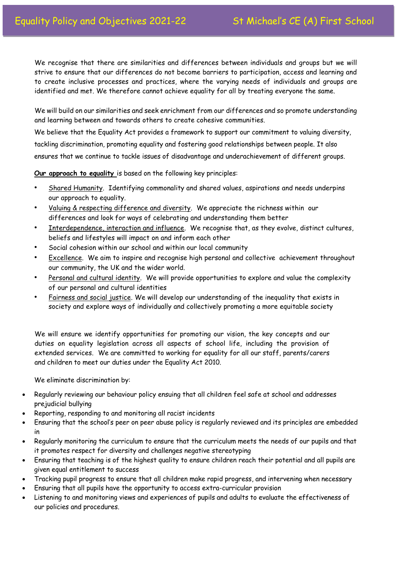We recognise that there are similarities and differences between individuals and groups but we will strive to ensure that our differences do not become barriers to participation, access and learning and to create inclusive processes and practices, where the varying needs of individuals and groups are identified and met. We therefore cannot achieve equality for all by treating everyone the same.

We will build on our similarities and seek enrichment from our differences and so promote understanding and learning between and towards others to create cohesive communities.

We believe that the Equality Act provides a framework to support our commitment to valuing diversity, tackling discrimination, promoting equality and fostering good relationships between people. It also ensures that we continue to tackle issues of disadvantage and underachievement of different groups.

**Our approach to equality** is based on the following key principles:

- Shared Humanity. Identifying commonality and shared values, aspirations and needs underpins our approach to equality.
- Valuing & respecting difference and diversity. We appreciate the richness within our differences and look for ways of celebrating and understanding them better
- Interdependence, interaction and influence. We recognise that, as they evolve, distinct cultures, beliefs and lifestyles will impact on and inform each other
- Social cohesion within our school and within our local community
- Excellence. We aim to inspire and recognise high personal and collective achievement throughout our community, the UK and the wider world.
- Personal and cultural identity. We will provide opportunities to explore and value the complexity of our personal and cultural identities
- Fairness and social justice. We will develop our understanding of the inequality that exists in society and explore ways of individually and collectively promoting a more equitable society

We will ensure we identify opportunities for promoting our vision, the key concepts and our duties on equality legislation across all aspects of school life, including the provision of extended services. We are committed to working for equality for all our staff, parents/carers and children to meet our duties under the Equality Act 2010.

We eliminate discrimination by:

- Regularly reviewing our behaviour policy ensuing that all children feel safe at school and addresses prejudicial bullying
- Reporting, responding to and monitoring all racist incidents
- Ensuring that the school's peer on peer abuse policy is regularly reviewed and its principles are embedded in
- Regularly monitoring the curriculum to ensure that the curriculum meets the needs of our pupils and that it promotes respect for diversity and challenges negative stereotyping
- Ensuring that teaching is of the highest quality to ensure children reach their potential and all pupils are given equal entitlement to success
- Tracking pupil progress to ensure that all children make rapid progress, and intervening when necessary
- Ensuring that all pupils have the opportunity to access extra-curricular provision
- Listening to and monitoring views and experiences of pupils and adults to evaluate the effectiveness of our policies and procedures.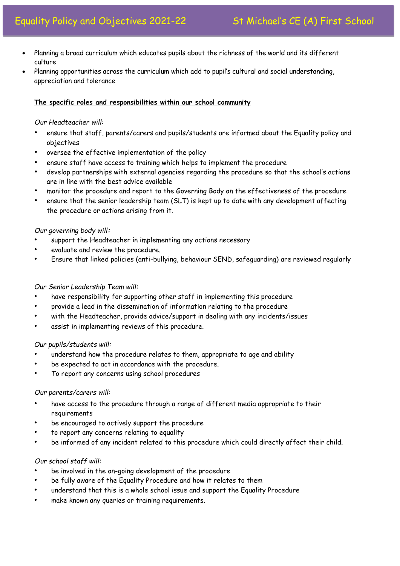- Planning a broad curriculum which educates pupils about the richness of the world and its different culture
- Planning opportunities across the curriculum which add to pupil's cultural and social understanding, appreciation and tolerance

## **The specific roles and responsibilities within our school community**

## *Our Headteacher will:*

- ensure that staff, parents/carers and pupils/students are informed about the Equality policy and objectives
- oversee the effective implementation of the policy
- ensure staff have access to training which helps to implement the procedure
- develop partnerships with external agencies regarding the procedure so that the school's actions are in line with the best advice available
- monitor the procedure and report to the Governing Body on the effectiveness of the procedure
- ensure that the senior leadership team (SLT) is kept up to date with any development affecting the procedure or actions arising from it.

### *Our governing body will:*

- support the Headteacher in implementing any actions necessary
- evaluate and review the procedure.
- Ensure that linked policies (anti-bullying, behaviour SEND, safeguarding) are reviewed regularly

# *Our Senior Leadership Team will:*

- have responsibility for supporting other staff in implementing this procedure
- provide a lead in the dissemination of information relating to the procedure
- with the Headteacher, provide advice/support in dealing with any incidents/issues
- assist in implementing reviews of this procedure.

#### *Our pupils/students will:*

- understand how the procedure relates to them, appropriate to age and ability
- be expected to act in accordance with the procedure.
- To report any concerns using school procedures

#### *Our parents/carers will:*

- have access to the procedure through a range of different media appropriate to their requirements
- be encouraged to actively support the procedure
- to report any concerns relating to equality
- be informed of any incident related to this procedure which could directly affect their child.

# *Our school staff will:*

- be involved in the on-going development of the procedure
- be fully aware of the Equality Procedure and how it relates to them
- understand that this is a whole school issue and support the Equality Procedure
- make known any queries or training requirements.